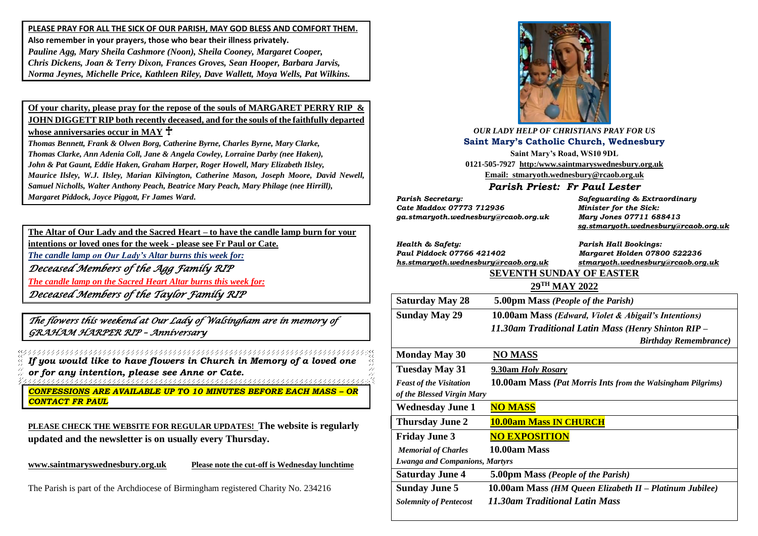**PLEASE PRAY FOR ALL THE SICK OF OUR PARISH, MAY GOD BLESS AND COMFORT THEM. Also remember in your prayers, those who bear their illness privately.** *Pauline Agg, Mary Sheila Cashmore (Noon), Sheila Cooney, Margaret Cooper, Chris Dickens, Joan & Terry Dixon, Frances Groves, Sean Hooper, Barbara Jarvis, Norma Jeynes, Michelle Price, Kathleen Riley, Dave Wallett, Moya Wells, Pat Wilkins.*

**Of your charity, please pray for the repose of the souls of MARGARET PERRY RIP & JOHN DIGGETT RIP both recently deceased, and for the souls of the faithfully departed whose anniversaries occur in MAY**

*Thomas Bennett, Frank & Olwen Borg, Catherine Byrne, Charles Byrne, Mary Clarke, Thomas Clarke, Ann Adenia Coll, Jane & Angela Cowley, Lorraine Darby (nee Haken), John & Pat Gaunt, Eddie Haken, Graham Harper, Roger Howell, Mary Elizabeth Ilsley, Maurice Ilsley, W.J. Ilsley, Marian Kilvington, Catherine Mason, Joseph Moore, David Newell, Samuel Nicholls, Walter Anthony Peach, Beatrice Mary Peach, Mary Philage (nee Hirrill), Margaret Piddock, Joyce Piggott, Fr James Ward.*

**The Altar of Our Lady and the Sacred Heart – to have the candle lamp burn for your intentions or loved ones for the week - please see Fr Paul or Cate.** *The candle lamp on Our Lady's Altar burns this week for:*

*Deceased Members of the Agg Family RIP* 

*The candle lamp on the Sacred Heart Altar burns this week for: Deceased Members of the Taylor Family RIP* 

*The flowers this weekend at Our Lady of Walsingham are in memory of GRAHAM HARPER RIP – Anniversary* 

*If you would like to have flowers in Church in Memory of a loved one or for any intention, please see Anne or Cate.*

*CONFESSIONS ARE AVAILABLE UP TO 10 MINUTES BEFORE EACH MASS – OR CONTACT FR PAUL*

**PLEASE CHECK THE WEBSITE FOR REGULAR UPDATES! The website is regularly updated and the newsletter is on usually every Thursday.** 

**[www.saintmaryswednesbury.org.uk](http://www.saintmaryswednesbury.org.uk/) Please note the cut-off is Wednesday lunchtime**

The Parish is part of the Archdiocese of Birmingham registered Charity No. 234216



#### *OUR LADY HELP OF CHRISTIANS PRAY FOR US* **Saint Mary's Catholic Church, Wednesbury**

**Saint Mary's Road, WS10 9DL 0121-505-7927 http:/www.saintmaryswednesbury.org.uk Email: stmaryoth.wednesbury@rcaob.org.uk**

*Parish Priest: Fr Paul Lester*

*Parish Secretary: Safeguarding & Extraordinary Cate Maddox 07773 712936 Minister for the Sick: ga.stmaryoth.wednesbury@rcaob.org.uk Mary Jones 07711 688413*

 *[sg.stmaryoth.wednesbury@rcaob.org.uk](mailto:sg.stmaryoth.wednesbury@rcaob.org.uk)*

| Health & Safety:                      |                                                                    | <b>Parish Hall Bookings:</b>                        |
|---------------------------------------|--------------------------------------------------------------------|-----------------------------------------------------|
| Paul Piddock 07766 421402             |                                                                    | Margaret Holden 07800 522236                        |
| hs.stmaryoth.wednesbury@rcaob.org.uk  |                                                                    | stmaryoth.wednesbury@rcaob.org.uk                   |
|                                       | <b>SEVENTH SUNDAY OF EASTER</b>                                    |                                                     |
|                                       | 29TH MAY 2022                                                      |                                                     |
| <b>Saturday May 28</b>                | 5.00pm Mass (People of the Parish)                                 |                                                     |
| <b>Sunday May 29</b>                  | 10.00am Mass (Edward, Violet & Abigail's Intentions)               |                                                     |
|                                       |                                                                    | 11.30am Traditional Latin Mass (Henry Shinton RIP - |
|                                       |                                                                    | <b>Birthday Remembrance</b> )                       |
| <b>Monday May 30</b>                  | <b>NO MASS</b>                                                     |                                                     |
| <b>Tuesday May 31</b>                 | 9.30am Holy Rosary                                                 |                                                     |
| <b>Feast of the Visitation</b>        | <b>10.00am Mass (Pat Morris Ints from the Walsingham Pilgrims)</b> |                                                     |
| of the Blessed Virgin Mary            |                                                                    |                                                     |
| <b>Wednesday June 1</b>               | <b>NO MASS</b>                                                     |                                                     |
| <b>Thursday June 2</b>                | <b>10.00am Mass IN CHURCH</b>                                      |                                                     |
| <b>Friday June 3</b>                  | <b>NO EXPOSITION</b>                                               |                                                     |
| <b>Memorial of Charles</b>            | 10.00am Mass                                                       |                                                     |
| <b>Lwanga and Companions, Martyrs</b> |                                                                    |                                                     |
| <b>Saturday June 4</b>                | 5.00pm Mass (People of the Parish)                                 |                                                     |
| <b>Sunday June 5</b>                  | 10.00am Mass (HM Queen Elizabeth II – Platinum Jubilee)            |                                                     |
| <b>Solemnity of Pentecost</b>         | 11.30am Traditional Latin Mass                                     |                                                     |
|                                       |                                                                    |                                                     |